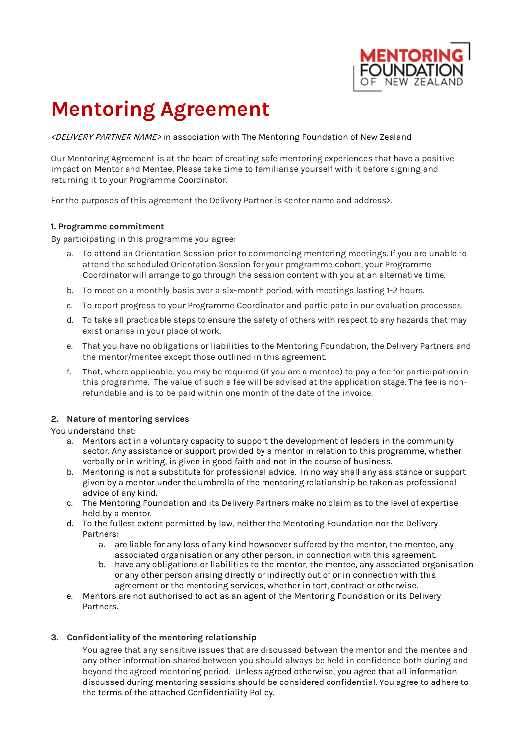

# **Mentoring Agreement**

<DELIVERY PARTNER NAME> in association with The Mentoring Foundation of New Zealand

Our Mentoring Agreement is at the heart of creating safe mentoring experiences that have a positive impact on Mentor and Mentee. Please take time to familiarise yourself with it before signing and returning it to your Programme Coordinator.

For the purposes of this agreement the Delivery Partner is <enter name and address>.

# **1. Programme commitment**

By participating in this programme you agree:

- a. To attend an Orientation Session prior to commencing mentoring meetings. If you are unable to attend the scheduled Orientation Session for your programme cohort, your Programme Coordinator will arrange to go through the session content with you at an alternative time.
- b. To meet on a monthly basis over a six-month period, with meetings lasting 1-2 hours.
- c. To report progress to your Programme Coordinator and participate in our evaluation processes.
- d. To take all practicable steps to ensure the safety of others with respect to any hazards that may exist or arise in your place of work.
- e. That you have no obligations or liabilities to the Mentoring Foundation, the Delivery Partners and the mentor/mentee except those outlined in this agreement.
- f. That, where applicable, you may be required (if you are a mentee) to pay a fee for participation in this programme. The value of such a fee will be advised at the application stage. The fee is nonrefundable and is to be paid within one month of the date of the invoice.

# **2. Nature of mentoring services**

#### You understand that:

- a. Mentors act in a voluntary capacity to support the development of leaders in the community sector. Any assistance or support provided by a mentor in relation to this programme, whether verbally or in writing, is given in good faith and not in the course of business.
- b. Mentoring is not a substitute for professional advice. In no way shall any assistance or support given by a mentor under the umbrella of the mentoring relationship be taken as professional advice of any kind.
- c. The Mentoring Foundation and its Delivery Partners make no claim as to the level of expertise held by a mentor.
- d. To the fullest extent permitted by law, neither the Mentoring Foundation nor the Delivery Partners:
	- a. are liable for any loss of any kind howsoever suffered by the mentor, the mentee, any associated organisation or any other person, in connection with this agreement.
	- b. have any obligations or liabilities to the mentor, the mentee, any associated organisation or any other person arising directly or indirectly out of or in connection with this agreement or the mentoring services, whether in tort, contract or otherwise.
- e. Mentors are not authorised to act as an agent of the Mentoring Foundation or its Delivery Partners.

# **3. Confidentiality of the mentoring relationship**

You agree that any sensitive issues that are discussed between the mentor and the mentee and any other information shared between you should always be held in confidence both during and beyond the agreed mentoring period. Unless agreed otherwise, you agree that all information discussed during mentoring sessions should be considered confidential. You agree to adhere to the terms of the attached Confidentiality Policy.